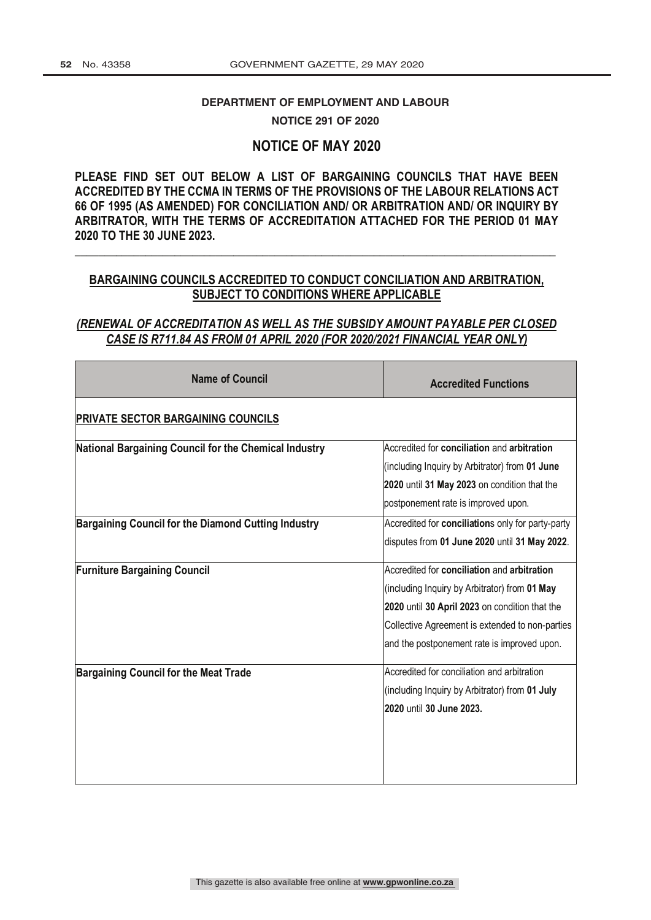# DEPARTMENT OF EMPLOYMENT AND LABOUR

**NOTICE 291 OF 2020** 

# **NOTICE OF MAY 2020**

**PLEASE FIND SET OUT BELOW A LIST OF BARGAINING COUNCILS THAT HAVE BEEN ACCREDITED BY THE CCMA IN TERMS OF THE PROVISIONS OF THE LABOUR RELATIONS ACT 66 OF 1995 (AS AMENDED) FOR CONCILIATION AND/ OR ARBITRATION AND/ OR INQUIRY BY ARBITRATOR, WITH THE TERMS OF ACCREDITATION ATTACHED FOR THE PERIOD 01 MAY 2020 TO THE 30 JUNE 2023.**

# **BARGAINING COUNCILS ACCREDITED TO CONDUCT CONCILIATION AND ARBITRATION, SUBJECT TO CONDITIONS WHERE APPLICABLE**

**\_\_\_\_\_\_\_\_\_\_\_\_\_\_\_\_\_\_\_\_\_\_\_\_\_\_\_\_\_\_\_\_\_\_\_\_\_\_\_\_\_\_\_\_\_\_\_\_\_\_\_\_\_\_\_\_\_\_\_\_\_\_\_\_\_\_\_\_\_\_\_\_\_\_\_\_\_\_\_\_\_\_**

# *(RENEWAL OF ACCREDITATION AS WELL AS THE SUBSIDY AMOUNT PAYABLE PER CLOSED CASE IS R711.84 AS FROM 01 APRIL 2020 (FOR 2020/2021 FINANCIAL YEAR ONLY)*

| <b>Name of Council</b>                                | <b>Accredited Functions</b>                                                                                                                                                                                                                      |
|-------------------------------------------------------|--------------------------------------------------------------------------------------------------------------------------------------------------------------------------------------------------------------------------------------------------|
| <b>PRIVATE SECTOR BARGAINING COUNCILS</b>             |                                                                                                                                                                                                                                                  |
| National Bargaining Council for the Chemical Industry | Accredited for conciliation and arbitration<br>(including Inquiry by Arbitrator) from 01 June                                                                                                                                                    |
|                                                       | 2020 until 31 May 2023 on condition that the<br>postponement rate is improved upon.                                                                                                                                                              |
| Bargaining Council for the Diamond Cutting Industry   | Accredited for conciliations only for party-party<br>disputes from 01 June 2020 until 31 May 2022.                                                                                                                                               |
| <b>Furniture Bargaining Council</b>                   | Accredited for conciliation and arbitration<br>(including Inquiry by Arbitrator) from 01 May<br>2020 until 30 April 2023 on condition that the<br>Collective Agreement is extended to non-parties<br>and the postponement rate is improved upon. |
| <b>Bargaining Council for the Meat Trade</b>          | Accredited for conciliation and arbitration<br>(including Inquiry by Arbitrator) from 01 July<br>2020 until 30 June 2023.                                                                                                                        |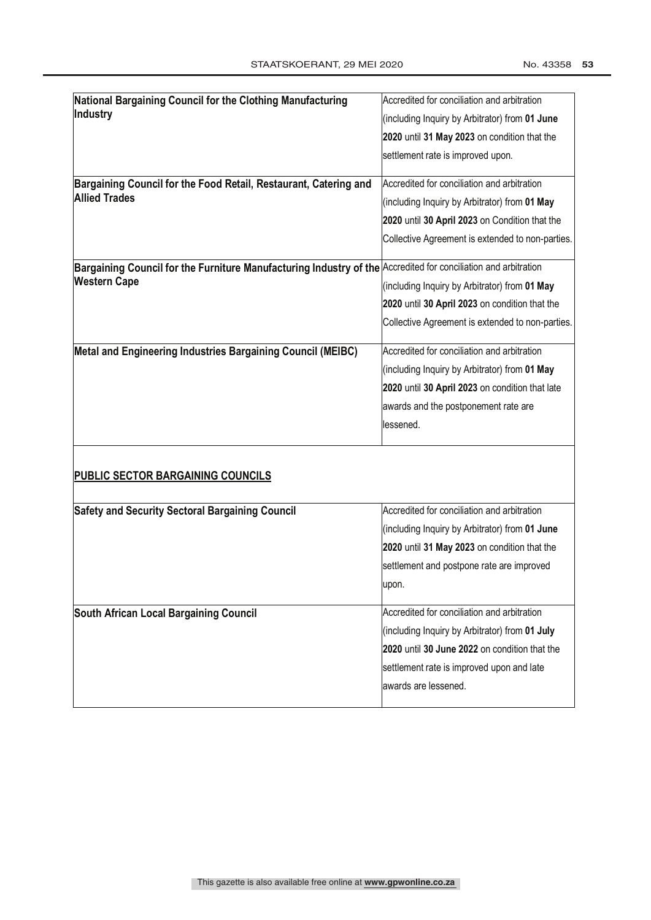| National Bargaining Council for the Clothing Manufacturing                                                                            | Accredited for conciliation and arbitration      |
|---------------------------------------------------------------------------------------------------------------------------------------|--------------------------------------------------|
| Industry                                                                                                                              | (including Inquiry by Arbitrator) from 01 June   |
|                                                                                                                                       | 2020 until 31 May 2023 on condition that the     |
|                                                                                                                                       | settlement rate is improved upon.                |
| Bargaining Council for the Food Retail, Restaurant, Catering and                                                                      | Accredited for conciliation and arbitration      |
| <b>Allied Trades</b>                                                                                                                  | (including Inquiry by Arbitrator) from 01 May    |
|                                                                                                                                       | 2020 until 30 April 2023 on Condition that the   |
|                                                                                                                                       | Collective Agreement is extended to non-parties. |
| Bargaining Council for the Furniture Manufacturing Industry of the Accredited for conciliation and arbitration<br><b>Western Cape</b> |                                                  |
|                                                                                                                                       | (including Inquiry by Arbitrator) from 01 May    |
|                                                                                                                                       | 2020 until 30 April 2023 on condition that the   |
|                                                                                                                                       | Collective Agreement is extended to non-parties. |
| Metal and Engineering Industries Bargaining Council (MEIBC)                                                                           | Accredited for conciliation and arbitration      |
|                                                                                                                                       | (including Inquiry by Arbitrator) from 01 May    |
|                                                                                                                                       | 2020 until 30 April 2023 on condition that late  |
|                                                                                                                                       | awards and the postponement rate are             |
|                                                                                                                                       | lessened.                                        |
| PUBLIC SECTOR BARGAINING COUNCILS                                                                                                     |                                                  |
|                                                                                                                                       |                                                  |
| <b>Safety and Security Sectoral Bargaining Council</b>                                                                                | Accredited for conciliation and arbitration      |
|                                                                                                                                       | (including Inquiry by Arbitrator) from 01 June   |
|                                                                                                                                       | 2020 until 31 May 2023 on condition that the     |
|                                                                                                                                       | settlement and postpone rate are improved        |
|                                                                                                                                       | upon.                                            |
| South African Local Bargaining Council                                                                                                | Accredited for conciliation and arbitration      |
|                                                                                                                                       | (including Inquiry by Arbitrator) from 01 July   |
|                                                                                                                                       | 2020 until 30 June 2022 on condition that the    |
|                                                                                                                                       | settlement rate is improved upon and late        |
|                                                                                                                                       | awards are lessened.                             |
|                                                                                                                                       |                                                  |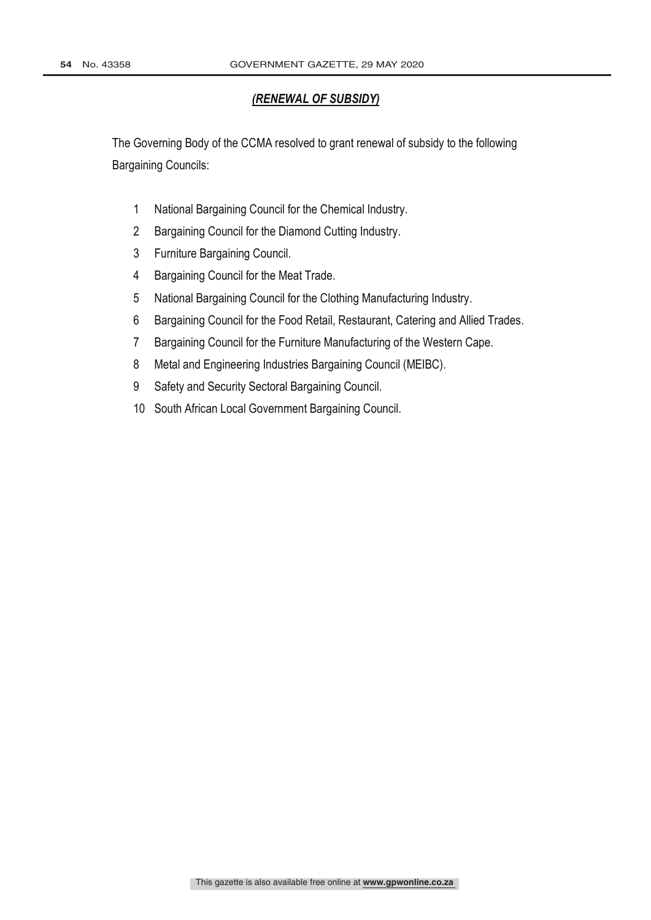# *(RENEWAL OF SUBSIDY)*

The Governing Body of the CCMA resolved to grant renewal of subsidy to the following Bargaining Councils:

- National Bargaining Council for the Chemical Industry.
- Bargaining Council for the Diamond Cutting Industry.
- Furniture Bargaining Council.
- Bargaining Council for the Meat Trade.
- National Bargaining Council for the Clothing Manufacturing Industry.
- Bargaining Council for the Food Retail, Restaurant, Catering and Allied Trades.
- Bargaining Council for the Furniture Manufacturing of the Western Cape.
- Metal and Engineering Industries Bargaining Council (MEIBC).
- Safety and Security Sectoral Bargaining Council.
- South African Local Government Bargaining Council.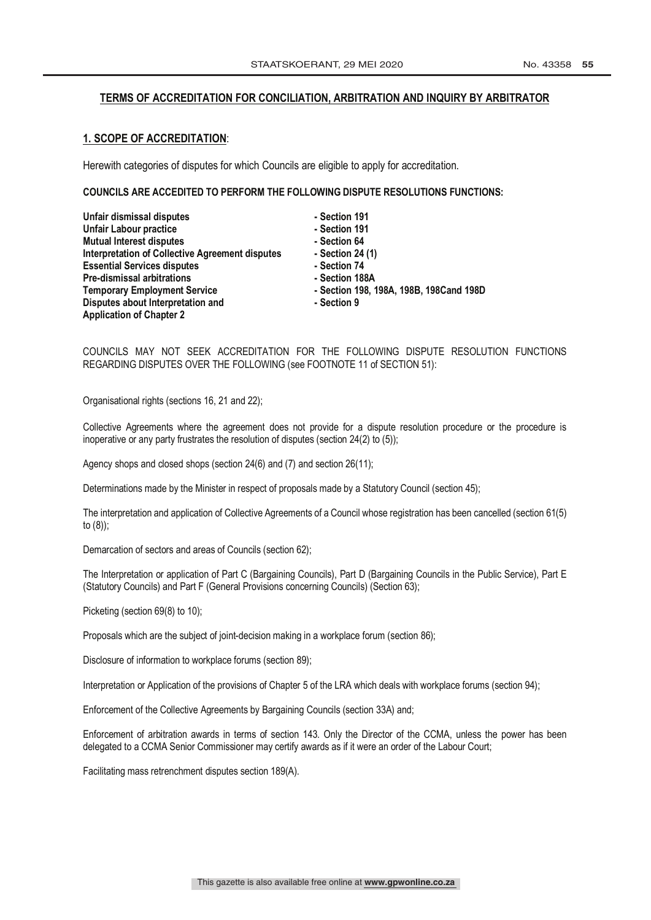## **TERMS OF ACCREDITATION FOR CONCILIATION, ARBITRATION AND INQUIRY BY ARBITRATOR**

## **1. SCOPE OF ACCREDITATION**:

Herewith categories of disputes for which Councils are eligible to apply for accreditation.

#### **COUNCILS ARE ACCEDITED TO PERFORM THE FOLLOWING DISPUTE RESOLUTIONS FUNCTIONS:**

| Unfair dismissal disputes                       | - Section 191                           |
|-------------------------------------------------|-----------------------------------------|
| Unfair Labour practice                          | - Section 191                           |
| <b>Mutual Interest disputes</b>                 | - Section 64                            |
| Interpretation of Collective Agreement disputes | - Section 24 (1)                        |
| <b>Essential Services disputes</b>              | - Section 74                            |
| <b>Pre-dismissal arbitrations</b>               | - Section 188A                          |
| <b>Temporary Employment Service</b>             | - Section 198, 198A, 198B, 198Cand 198D |
| Disputes about Interpretation and               | - Section 9                             |
| <b>Application of Chapter 2</b>                 |                                         |

## COUNCILS MAY NOT SEEK ACCREDITATION FOR THE FOLLOWING DISPUTE RESOLUTION FUNCTIONS REGARDING DISPUTES OVER THE FOLLOWING (see FOOTNOTE 11 of SECTION 51):

Organisational rights (sections 16, 21 and 22);

Collective Agreements where the agreement does not provide for a dispute resolution procedure or the procedure is inoperative or any party frustrates the resolution of disputes (section 24(2) to (5));

Agency shops and closed shops (section 24(6) and (7) and section 26(11);

Determinations made by the Minister in respect of proposals made by a Statutory Council (section 45);

The interpretation and application of Collective Agreements of a Council whose registration has been cancelled (section 61(5) to (8));

Demarcation of sectors and areas of Councils (section 62);

The Interpretation or application of Part C (Bargaining Councils), Part D (Bargaining Councils in the Public Service), Part E (Statutory Councils) and Part F (General Provisions concerning Councils) (Section 63);

Picketing (section 69(8) to 10);

Proposals which are the subject of joint-decision making in a workplace forum (section 86);

Disclosure of information to workplace forums (section 89);

Interpretation or Application of the provisions of Chapter 5 of the LRA which deals with workplace forums (section 94);

Enforcement of the Collective Agreements by Bargaining Councils (section 33A) and;

Enforcement of arbitration awards in terms of section 143. Only the Director of the CCMA, unless the power has been delegated to a CCMA Senior Commissioner may certify awards as if it were an order of the Labour Court;

Facilitating mass retrenchment disputes section 189(A).